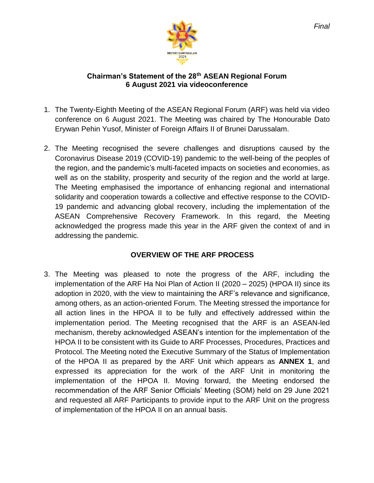

#### **Chairman's Statement of the 28th ASEAN Regional Forum 6 August 2021 via videoconference**

- 1. The Twenty-Eighth Meeting of the ASEAN Regional Forum (ARF) was held via video conference on 6 August 2021. The Meeting was chaired by The Honourable Dato Erywan Pehin Yusof, Minister of Foreign Affairs II of Brunei Darussalam.
- 2. The Meeting recognised the severe challenges and disruptions caused by the Coronavirus Disease 2019 (COVID-19) pandemic to the well-being of the peoples of the region, and the pandemic's multi-faceted impacts on societies and economies, as well as on the stability, prosperity and security of the region and the world at large. The Meeting emphasised the importance of enhancing regional and international solidarity and cooperation towards a collective and effective response to the COVID-19 pandemic and advancing global recovery, including the implementation of the ASEAN Comprehensive Recovery Framework. In this regard, the Meeting acknowledged the progress made this year in the ARF given the context of and in addressing the pandemic.

# **OVERVIEW OF THE ARF PROCESS**

3. The Meeting was pleased to note the progress of the ARF, including the implementation of the ARF Ha Noi Plan of Action II (2020 – 2025) (HPOA II) since its adoption in 2020, with the view to maintaining the ARF's relevance and significance, among others, as an action-oriented Forum. The Meeting stressed the importance for all action lines in the HPOA II to be fully and effectively addressed within the implementation period. The Meeting recognised that the ARF is an ASEAN-led mechanism, thereby acknowledged ASEAN's intention for the implementation of the HPOA II to be consistent with its Guide to ARF Processes, Procedures, Practices and Protocol. The Meeting noted the Executive Summary of the Status of Implementation of the HPOA II as prepared by the ARF Unit which appears as **ANNEX 1**, and expressed its appreciation for the work of the ARF Unit in monitoring the implementation of the HPOA II. Moving forward, the Meeting endorsed the recommendation of the ARF Senior Officials' Meeting (SOM) held on 29 June 2021 and requested all ARF Participants to provide input to the ARF Unit on the progress of implementation of the HPOA II on an annual basis.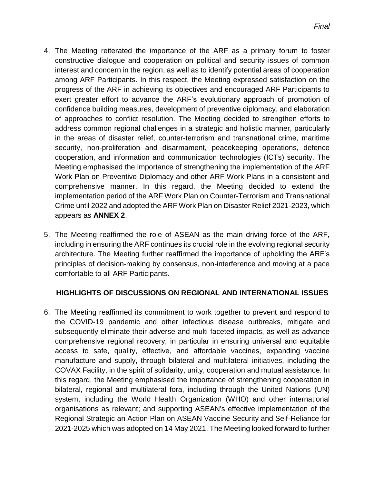- 4. The Meeting reiterated the importance of the ARF as a primary forum to foster constructive dialogue and cooperation on political and security issues of common interest and concern in the region, as well as to identify potential areas of cooperation among ARF Participants. In this respect, the Meeting expressed satisfaction on the progress of the ARF in achieving its objectives and encouraged ARF Participants to exert greater effort to advance the ARF's evolutionary approach of promotion of confidence building measures, development of preventive diplomacy, and elaboration of approaches to conflict resolution. The Meeting decided to strengthen efforts to address common regional challenges in a strategic and holistic manner, particularly in the areas of disaster relief, counter-terrorism and transnational crime, maritime security, non-proliferation and disarmament, peacekeeping operations, defence cooperation, and information and communication technologies (ICTs) security. The Meeting emphasised the importance of strengthening the implementation of the ARF Work Plan on Preventive Diplomacy and other ARF Work Plans in a consistent and comprehensive manner. In this regard, the Meeting decided to extend the implementation period of the ARF Work Plan on Counter-Terrorism and Transnational Crime until 2022 and adopted the ARF Work Plan on Disaster Relief 2021-2023, which appears as **ANNEX 2**.
- 5. The Meeting reaffirmed the role of ASEAN as the main driving force of the ARF, including in ensuring the ARF continues its crucial role in the evolving regional security architecture. The Meeting further reaffirmed the importance of upholding the ARF's principles of decision-making by consensus, non-interference and moving at a pace comfortable to all ARF Participants.

## **HIGHLIGHTS OF DISCUSSIONS ON REGIONAL AND INTERNATIONAL ISSUES**

6. The Meeting reaffirmed its commitment to work together to prevent and respond to the COVID-19 pandemic and other infectious disease outbreaks, mitigate and subsequently eliminate their adverse and multi-faceted impacts, as well as advance comprehensive regional recovery, in particular in ensuring universal and equitable access to safe, quality, effective, and affordable vaccines, expanding vaccine manufacture and supply, through bilateral and multilateral initiatives, including the COVAX Facility, in the spirit of solidarity, unity, cooperation and mutual assistance. In this regard, the Meeting emphasised the importance of strengthening cooperation in bilateral, regional and multilateral fora, including through the United Nations (UN) system, including the World Health Organization (WHO) and other international organisations as relevant; and supporting ASEAN's effective implementation of the Regional Strategic an Action Plan on ASEAN Vaccine Security and Self-Reliance for 2021-2025 which was adopted on 14 May 2021. The Meeting looked forward to further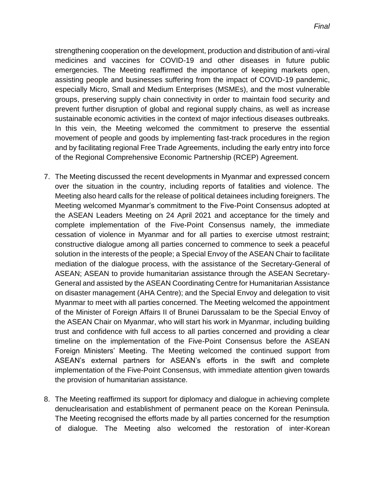strengthening cooperation on the development, production and distribution of anti-viral medicines and vaccines for COVID-19 and other diseases in future public emergencies. The Meeting reaffirmed the importance of keeping markets open, assisting people and businesses suffering from the impact of COVID-19 pandemic, especially Micro, Small and Medium Enterprises (MSMEs), and the most vulnerable groups, preserving supply chain connectivity in order to maintain food security and prevent further disruption of global and regional supply chains, as well as increase sustainable economic activities in the context of major infectious diseases outbreaks. In this vein, the Meeting welcomed the commitment to preserve the essential movement of people and goods by implementing fast-track procedures in the region and by facilitating regional Free Trade Agreements, including the early entry into force of the Regional Comprehensive Economic Partnership (RCEP) Agreement.

- 7. The Meeting discussed the recent developments in Myanmar and expressed concern over the situation in the country, including reports of fatalities and violence. The Meeting also heard calls for the release of political detainees including foreigners. The Meeting welcomed Myanmar's commitment to the Five-Point Consensus adopted at the ASEAN Leaders Meeting on 24 April 2021 and acceptance for the timely and complete implementation of the Five-Point Consensus namely, the immediate cessation of violence in Myanmar and for all parties to exercise utmost restraint; constructive dialogue among all parties concerned to commence to seek a peaceful solution in the interests of the people; a Special Envoy of the ASEAN Chair to facilitate mediation of the dialogue process, with the assistance of the Secretary-General of ASEAN; ASEAN to provide humanitarian assistance through the ASEAN Secretary-General and assisted by the ASEAN Coordinating Centre for Humanitarian Assistance on disaster management (AHA Centre); and the Special Envoy and delegation to visit Myanmar to meet with all parties concerned. The Meeting welcomed the appointment of the Minister of Foreign Affairs II of Brunei Darussalam to be the Special Envoy of the ASEAN Chair on Myanmar, who will start his work in Myanmar, including building trust and confidence with full access to all parties concerned and providing a clear timeline on the implementation of the Five-Point Consensus before the ASEAN Foreign Ministers' Meeting. The Meeting welcomed the continued support from ASEAN's external partners for ASEAN's efforts in the swift and complete implementation of the Five-Point Consensus, with immediate attention given towards the provision of humanitarian assistance.
- 8. The Meeting reaffirmed its support for diplomacy and dialogue in achieving complete denuclearisation and establishment of permanent peace on the Korean Peninsula. The Meeting recognised the efforts made by all parties concerned for the resumption of dialogue. The Meeting also welcomed the restoration of inter-Korean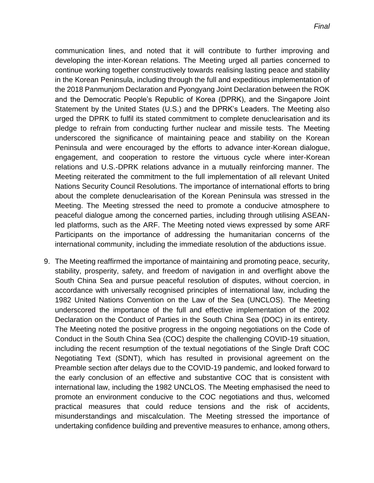communication lines, and noted that it will contribute to further improving and developing the inter-Korean relations. The Meeting urged all parties concerned to continue working together constructively towards realising lasting peace and stability in the Korean Peninsula, including through the full and expeditious implementation of the 2018 Panmunjom Declaration and Pyongyang Joint Declaration between the ROK and the Democratic People's Republic of Korea (DPRK), and the Singapore Joint Statement by the United States (U.S.) and the DPRK's Leaders. The Meeting also urged the DPRK to fulfil its stated commitment to complete denuclearisation and its pledge to refrain from conducting further nuclear and missile tests. The Meeting underscored the significance of maintaining peace and stability on the Korean Peninsula and were encouraged by the efforts to advance inter-Korean dialogue, engagement, and cooperation to restore the virtuous cycle where inter-Korean relations and U.S.-DPRK relations advance in a mutually reinforcing manner. The Meeting reiterated the commitment to the full implementation of all relevant United Nations Security Council Resolutions. The importance of international efforts to bring about the complete denuclearisation of the Korean Peninsula was stressed in the Meeting. The Meeting stressed the need to promote a conducive atmosphere to peaceful dialogue among the concerned parties, including through utilising ASEANled platforms, such as the ARF. The Meeting noted views expressed by some ARF Participants on the importance of addressing the humanitarian concerns of the international community, including the immediate resolution of the abductions issue.

9. The Meeting reaffirmed the importance of maintaining and promoting peace, security, stability, prosperity, safety, and freedom of navigation in and overflight above the South China Sea and pursue peaceful resolution of disputes, without coercion, in accordance with universally recognised principles of international law, including the 1982 United Nations Convention on the Law of the Sea (UNCLOS). The Meeting underscored the importance of the full and effective implementation of the 2002 Declaration on the Conduct of Parties in the South China Sea (DOC) in its entirety. The Meeting noted the positive progress in the ongoing negotiations on the Code of Conduct in the South China Sea (COC) despite the challenging COVID-19 situation, including the recent resumption of the textual negotiations of the Single Draft COC Negotiating Text (SDNT), which has resulted in provisional agreement on the Preamble section after delays due to the COVID-19 pandemic, and looked forward to the early conclusion of an effective and substantive COC that is consistent with international law, including the 1982 UNCLOS. The Meeting emphasised the need to promote an environment conducive to the COC negotiations and thus, welcomed practical measures that could reduce tensions and the risk of accidents, misunderstandings and miscalculation. The Meeting stressed the importance of undertaking confidence building and preventive measures to enhance, among others,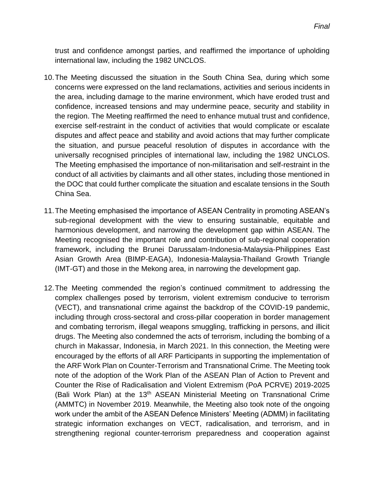trust and confidence amongst parties, and reaffirmed the importance of upholding international law, including the 1982 UNCLOS.

- 10.The Meeting discussed the situation in the South China Sea, during which some concerns were expressed on the land reclamations, activities and serious incidents in the area, including damage to the marine environment, which have eroded trust and confidence, increased tensions and may undermine peace, security and stability in the region. The Meeting reaffirmed the need to enhance mutual trust and confidence, exercise self-restraint in the conduct of activities that would complicate or escalate disputes and affect peace and stability and avoid actions that may further complicate the situation, and pursue peaceful resolution of disputes in accordance with the universally recognised principles of international law, including the 1982 UNCLOS. The Meeting emphasised the importance of non-militarisation and self-restraint in the conduct of all activities by claimants and all other states, including those mentioned in the DOC that could further complicate the situation and escalate tensions in the South China Sea.
- 11.The Meeting emphasised the importance of ASEAN Centrality in promoting ASEAN's sub-regional development with the view to ensuring sustainable, equitable and harmonious development, and narrowing the development gap within ASEAN. The Meeting recognised the important role and contribution of sub-regional cooperation framework, including the Brunei Darussalam-Indonesia-Malaysia-Philippines East Asian Growth Area (BIMP-EAGA), Indonesia-Malaysia-Thailand Growth Triangle (IMT-GT) and those in the Mekong area, in narrowing the development gap.
- 12.The Meeting commended the region's continued commitment to addressing the complex challenges posed by terrorism, violent extremism conducive to terrorism (VECT), and transnational crime against the backdrop of the COVID-19 pandemic, including through cross-sectoral and cross-pillar cooperation in border management and combating terrorism, illegal weapons smuggling, trafficking in persons, and illicit drugs. The Meeting also condemned the acts of terrorism, including the bombing of a church in Makassar, Indonesia, in March 2021. In this connection, the Meeting were encouraged by the efforts of all ARF Participants in supporting the implementation of the ARF Work Plan on Counter-Terrorism and Transnational Crime. The Meeting took note of the adoption of the Work Plan of the ASEAN Plan of Action to Prevent and Counter the Rise of Radicalisation and Violent Extremism (PoA PCRVE) 2019-2025 (Bali Work Plan) at the  $13<sup>th</sup>$  ASEAN Ministerial Meeting on Transnational Crime (AMMTC) in November 2019. Meanwhile, the Meeting also took note of the ongoing work under the ambit of the ASEAN Defence Ministers' Meeting (ADMM) in facilitating strategic information exchanges on VECT, radicalisation, and terrorism, and in strengthening regional counter-terrorism preparedness and cooperation against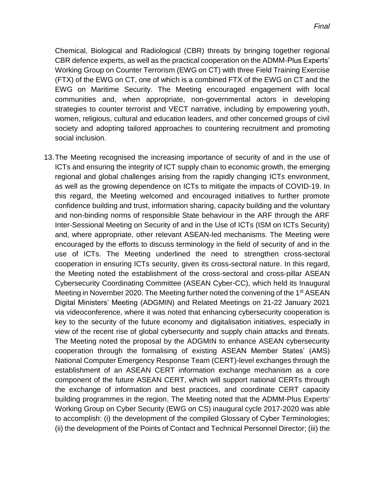Chemical, Biological and Radiological (CBR) threats by bringing together regional CBR defence experts, as well as the practical cooperation on the ADMM-Plus Experts' Working Group on Counter Terrorism (EWG on CT) with three Field Training Exercise (FTX) of the EWG on CT, one of which is a combined FTX of the EWG on CT and the EWG on Maritime Security. The Meeting encouraged engagement with local communities and, when appropriate, non-governmental actors in developing strategies to counter terrorist and VECT narrative, including by empowering youth, women, religious, cultural and education leaders, and other concerned groups of civil society and adopting tailored approaches to countering recruitment and promoting social inclusion.

13.The Meeting recognised the increasing importance of security of and in the use of ICTs and ensuring the integrity of ICT supply chain to economic growth, the emerging regional and global challenges arising from the rapidly changing ICTs environment, as well as the growing dependence on ICTs to mitigate the impacts of COVID-19. In this regard, the Meeting welcomed and encouraged initiatives to further promote confidence building and trust, information sharing, capacity building and the voluntary and non-binding norms of responsible State behaviour in the ARF through the ARF Inter-Sessional Meeting on Security of and in the Use of ICTs (ISM on ICTs Security) and, where appropriate, other relevant ASEAN-led mechanisms. The Meeting were encouraged by the efforts to discuss terminology in the field of security of and in the use of ICTs. The Meeting underlined the need to strengthen cross-sectoral cooperation in ensuring ICTs security, given its cross-sectoral nature. In this regard, the Meeting noted the establishment of the cross-sectoral and cross-pillar ASEAN Cybersecurity Coordinating Committee (ASEAN Cyber-CC), which held its Inaugural Meeting in November 2020. The Meeting further noted the convening of the 1<sup>st</sup> ASEAN Digital Ministers' Meeting (ADGMIN) and Related Meetings on 21-22 January 2021 via videoconference, where it was noted that enhancing cybersecurity cooperation is key to the security of the future economy and digitalisation initiatives, especially in view of the recent rise of global cybersecurity and supply chain attacks and threats. The Meeting noted the proposal by the ADGMIN to enhance ASEAN cybersecurity cooperation through the formalising of existing ASEAN Member States' (AMS) National Computer Emergency Response Team (CERT)-level exchanges through the establishment of an ASEAN CERT information exchange mechanism as a core component of the future ASEAN CERT, which will support national CERTs through the exchange of information and best practices, and coordinate CERT capacity building programmes in the region. The Meeting noted that the ADMM-Plus Experts' Working Group on Cyber Security (EWG on CS) inaugural cycle 2017-2020 was able to accomplish: (i) the development of the compiled Glossary of Cyber Terminologies; (ii) the development of the Points of Contact and Technical Personnel Director; (iii) the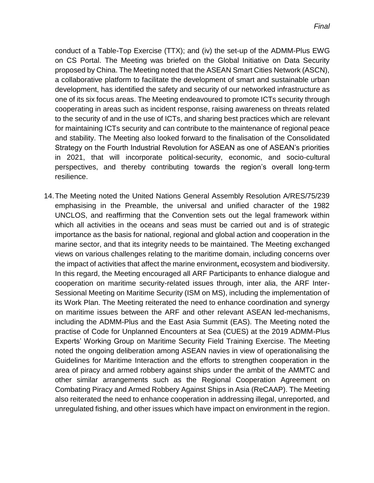conduct of a Table-Top Exercise (TTX); and (iv) the set-up of the ADMM-Plus EWG on CS Portal. The Meeting was briefed on the Global Initiative on Data Security proposed by China. The Meeting noted that the ASEAN Smart Cities Network (ASCN), a collaborative platform to facilitate the development of smart and sustainable urban development, has identified the safety and security of our networked infrastructure as one of its six focus areas. The Meeting endeavoured to promote ICTs security through cooperating in areas such as incident response, raising awareness on threats related to the security of and in the use of ICTs, and sharing best practices which are relevant for maintaining ICTs security and can contribute to the maintenance of regional peace and stability. The Meeting also looked forward to the finalisation of the Consolidated Strategy on the Fourth Industrial Revolution for ASEAN as one of ASEAN's priorities in 2021, that will incorporate political-security, economic, and socio-cultural perspectives, and thereby contributing towards the region's overall long-term resilience.

14.The Meeting noted the United Nations General Assembly Resolution A/RES/75/239 emphasising in the Preamble, the universal and unified character of the 1982 UNCLOS, and reaffirming that the Convention sets out the legal framework within which all activities in the oceans and seas must be carried out and is of strategic importance as the basis for national, regional and global action and cooperation in the marine sector, and that its integrity needs to be maintained. The Meeting exchanged views on various challenges relating to the maritime domain, including concerns over the impact of activities that affect the marine environment**,** ecosystem and biodiversity. In this regard, the Meeting encouraged all ARF Participants to enhance dialogue and cooperation on maritime security-related issues through, inter alia, the ARF Inter-Sessional Meeting on Maritime Security (ISM on MS), including the implementation of its Work Plan. The Meeting reiterated the need to enhance coordination and synergy on maritime issues between the ARF and other relevant ASEAN led-mechanisms, including the ADMM-Plus and the East Asia Summit (EAS). The Meeting noted the practise of Code for Unplanned Encounters at Sea (CUES) at the 2019 ADMM-Plus Experts' Working Group on Maritime Security Field Training Exercise. The Meeting noted the ongoing deliberation among ASEAN navies in view of operationalising the Guidelines for Maritime Interaction and the efforts to strengthen cooperation in the area of piracy and armed robbery against ships under the ambit of the AMMTC and other similar arrangements such as the Regional Cooperation Agreement on Combating Piracy and Armed Robbery Against Ships in Asia (ReCAAP). The Meeting also reiterated the need to enhance cooperation in addressing illegal, unreported, and unregulated fishing, and other issues which have impact on environment in the region.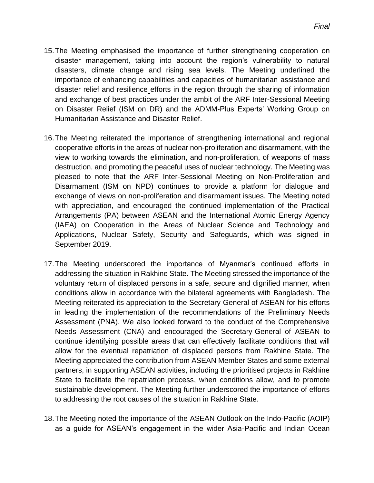- 15.The Meeting emphasised the importance of further strengthening cooperation on disaster management, taking into account the region's vulnerability to natural disasters, climate change and rising sea levels. The Meeting underlined the importance of enhancing capabilities and capacities of humanitarian assistance and disaster relief and resilience efforts in the region through the sharing of information and exchange of best practices under the ambit of the ARF Inter-Sessional Meeting on Disaster Relief (ISM on DR) and the ADMM-Plus Experts' Working Group on Humanitarian Assistance and Disaster Relief.
- 16.The Meeting reiterated the importance of strengthening international and regional cooperative efforts in the areas of nuclear non-proliferation and disarmament, with the view to working towards the elimination, and non-proliferation, of weapons of mass destruction, and promoting the peaceful uses of nuclear technology. The Meeting was pleased to note that the ARF Inter-Sessional Meeting on Non-Proliferation and Disarmament (ISM on NPD) continues to provide a platform for dialogue and exchange of views on non-proliferation and disarmament issues. The Meeting noted with appreciation, and encouraged the continued implementation of the Practical Arrangements (PA) between ASEAN and the International Atomic Energy Agency (IAEA) on Cooperation in the Areas of Nuclear Science and Technology and Applications, Nuclear Safety, Security and Safeguards, which was signed in September 2019.
- 17.The Meeting underscored the importance of Myanmar's continued efforts in addressing the situation in Rakhine State. The Meeting stressed the importance of the voluntary return of displaced persons in a safe, secure and dignified manner, when conditions allow in accordance with the bilateral agreements with Bangladesh. The Meeting reiterated its appreciation to the Secretary-General of ASEAN for his efforts in leading the implementation of the recommendations of the Preliminary Needs Assessment (PNA). We also looked forward to the conduct of the Comprehensive Needs Assessment (CNA) and encouraged the Secretary-General of ASEAN to continue identifying possible areas that can effectively facilitate conditions that will allow for the eventual repatriation of displaced persons from Rakhine State. The Meeting appreciated the contribution from ASEAN Member States and some external partners, in supporting ASEAN activities, including the prioritised projects in Rakhine State to facilitate the repatriation process, when conditions allow, and to promote sustainable development. The Meeting further underscored the importance of efforts to addressing the root causes of the situation in Rakhine State.
- 18.The Meeting noted the importance of the ASEAN Outlook on the Indo-Pacific (AOIP) as a guide for ASEAN's engagement in the wider Asia-Pacific and Indian Ocean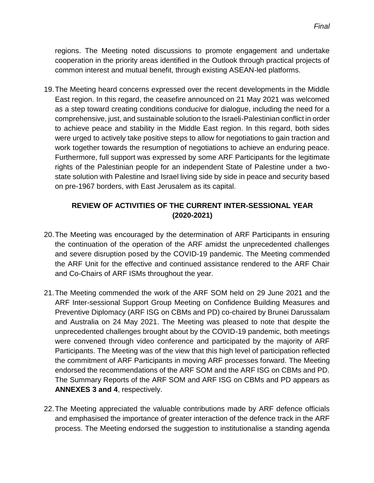regions. The Meeting noted discussions to promote engagement and undertake cooperation in the priority areas identified in the Outlook through practical projects of common interest and mutual benefit, through existing ASEAN-led platforms.

19.The Meeting heard concerns expressed over the recent developments in the Middle East region. In this regard, the ceasefire announced on 21 May 2021 was welcomed as a step toward creating conditions conducive for dialogue, including the need for a comprehensive, just, and sustainable solution to the Israeli-Palestinian conflict in order to achieve peace and stability in the Middle East region. In this regard, both sides were urged to actively take positive steps to allow for negotiations to gain traction and work together towards the resumption of negotiations to achieve an enduring peace. Furthermore, full support was expressed by some ARF Participants for the legitimate rights of the Palestinian people for an independent State of Palestine under a twostate solution with Palestine and Israel living side by side in peace and security based on pre-1967 borders, with East Jerusalem as its capital.

## **REVIEW OF ACTIVITIES OF THE CURRENT INTER-SESSIONAL YEAR (2020-2021)**

- 20.The Meeting was encouraged by the determination of ARF Participants in ensuring the continuation of the operation of the ARF amidst the unprecedented challenges and severe disruption posed by the COVID-19 pandemic. The Meeting commended the ARF Unit for the effective and continued assistance rendered to the ARF Chair and Co-Chairs of ARF ISMs throughout the year.
- 21.The Meeting commended the work of the ARF SOM held on 29 June 2021 and the ARF Inter-sessional Support Group Meeting on Confidence Building Measures and Preventive Diplomacy (ARF ISG on CBMs and PD) co-chaired by Brunei Darussalam and Australia on 24 May 2021. The Meeting was pleased to note that despite the unprecedented challenges brought about by the COVID-19 pandemic, both meetings were convened through video conference and participated by the majority of ARF Participants. The Meeting was of the view that this high level of participation reflected the commitment of ARF Participants in moving ARF processes forward. The Meeting endorsed the recommendations of the ARF SOM and the ARF ISG on CBMs and PD. The Summary Reports of the ARF SOM and ARF ISG on CBMs and PD appears as **ANNEXES 3 and 4**, respectively.
- 22.The Meeting appreciated the valuable contributions made by ARF defence officials and emphasised the importance of greater interaction of the defence track in the ARF process. The Meeting endorsed the suggestion to institutionalise a standing agenda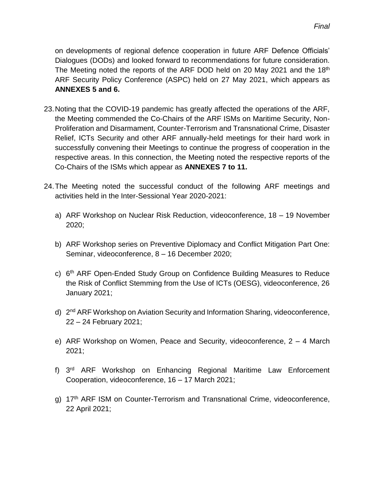on developments of regional defence cooperation in future ARF Defence Officials' Dialogues (DODs) and looked forward to recommendations for future consideration. The Meeting noted the reports of the ARF DOD held on 20 May 2021 and the 18<sup>th</sup> ARF Security Policy Conference (ASPC) held on 27 May 2021, which appears as **ANNEXES 5 and 6.**

- 23.Noting that the COVID-19 pandemic has greatly affected the operations of the ARF, the Meeting commended the Co-Chairs of the ARF ISMs on Maritime Security, Non-Proliferation and Disarmament, Counter-Terrorism and Transnational Crime, Disaster Relief, ICTs Security and other ARF annually-held meetings for their hard work in successfully convening their Meetings to continue the progress of cooperation in the respective areas. In this connection, the Meeting noted the respective reports of the Co-Chairs of the ISMs which appear as **ANNEXES 7 to 11.**
- 24.The Meeting noted the successful conduct of the following ARF meetings and activities held in the Inter-Sessional Year 2020-2021:
	- a) ARF Workshop on Nuclear Risk Reduction, videoconference, 18 19 November 2020;
	- b) ARF Workshop series on Preventive Diplomacy and Conflict Mitigation Part One: Seminar, videoconference, 8 – 16 December 2020;
	- c) 6<sup>th</sup> ARF Open-Ended Study Group on Confidence Building Measures to Reduce the Risk of Conflict Stemming from the Use of ICTs (OESG), videoconference, 26 January 2021;
	- d) 2<sup>nd</sup> ARF Workshop on Aviation Security and Information Sharing, videoconference, 22 – 24 February 2021;
	- e) ARF Workshop on Women, Peace and Security, videoconference, 2 4 March 2021;
	- f) 3<sup>rd</sup> ARF Workshop on Enhancing Regional Maritime Law Enforcement Cooperation, videoconference, 16 – 17 March 2021;
	- g) 17<sup>th</sup> ARF ISM on Counter-Terrorism and Transnational Crime, videoconference, 22 April 2021;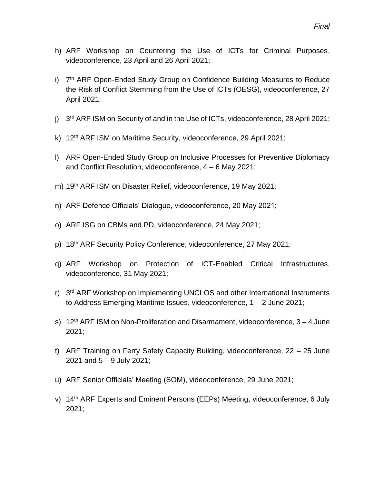- h) ARF Workshop on Countering the Use of ICTs for Criminal Purposes, videoconference, 23 April and 26 April 2021;
- i) 7<sup>th</sup> ARF Open-Ended Study Group on Confidence Building Measures to Reduce the Risk of Conflict Stemming from the Use of ICTs (OESG), videoconference, 27 April 2021;
- j) 3<sup>rd</sup> ARF ISM on Security of and in the Use of ICTs, videoconference, 28 April 2021;
- k) 12<sup>th</sup> ARF ISM on Maritime Security, videoconference, 29 April 2021;
- l) ARF Open-Ended Study Group on Inclusive Processes for Preventive Diplomacy and Conflict Resolution, videoconference, 4 – 6 May 2021;
- m) 19th ARF ISM on Disaster Relief, videoconference, 19 May 2021;
- n) ARF Defence Officials' Dialogue, videoconference, 20 May 2021;
- o) ARF ISG on CBMs and PD, videoconference, 24 May 2021;
- p) 18th ARF Security Policy Conference, videoconference, 27 May 2021;
- q) ARF Workshop on Protection of ICT-Enabled Critical Infrastructures, videoconference, 31 May 2021;
- r) 3<sup>rd</sup> ARF Workshop on Implementing UNCLOS and other International Instruments to Address Emerging Maritime Issues, videoconference, 1 – 2 June 2021;
- s)  $12<sup>th</sup> ARF ISM$  on Non-Proliferation and Disarmament, videoconference,  $3 4$  June 2021;
- t) ARF Training on Ferry Safety Capacity Building, videoconference, 22 25 June 2021 and 5 – 9 July 2021;
- u) ARF Senior Officials' Meeting (SOM), videoconference, 29 June 2021;
- v) 14th ARF Experts and Eminent Persons (EEPs) Meeting, videoconference, 6 July 2021;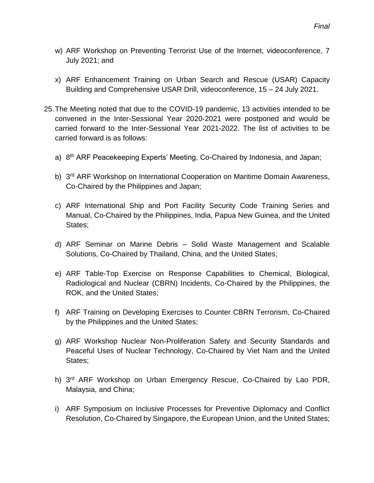- w) ARF Workshop on Preventing Terrorist Use of the Internet, videoconference, 7 July 2021; and
- x) ARF Enhancement Training on Urban Search and Rescue (USAR) Capacity Building and Comprehensive USAR Drill, videoconference, 15 – 24 July 2021.
- 25.The Meeting noted that due to the COVID-19 pandemic, 13 activities intended to be convened in the Inter-Sessional Year 2020-2021 were postponed and would be carried forward to the Inter-Sessional Year 2021-2022. The list of activities to be carried forward is as follows:
	- a) 8<sup>th</sup> ARF Peacekeeping Experts' Meeting, Co-Chaired by Indonesia, and Japan;
	- b) 3<sup>rd</sup> ARF Workshop on International Cooperation on Maritime Domain Awareness, Co-Chaired by the Philippines and Japan;
	- c) ARF International Ship and Port Facility Security Code Training Series and Manual, Co-Chaired by the Philippines, India, Papua New Guinea, and the United States;
	- d) ARF Seminar on Marine Debris Solid Waste Management and Scalable Solutions, Co-Chaired by Thailand, China, and the United States;
	- e) ARF Table-Top Exercise on Response Capabilities to Chemical, Biological, Radiological and Nuclear (CBRN) Incidents, Co-Chaired by the Philippines, the ROK, and the United States;
	- f) ARF Training on Developing Exercises to Counter CBRN Terrorism, Co-Chaired by the Philippines and the United States;
	- g) ARF Workshop Nuclear Non-Proliferation Safety and Security Standards and Peaceful Uses of Nuclear Technology, Co-Chaired by Viet Nam and the United States;
	- h) 3<sup>rd</sup> ARF Workshop on Urban Emergency Rescue, Co-Chaired by Lao PDR, Malaysia, and China;
	- i) ARF Symposium on Inclusive Processes for Preventive Diplomacy and Conflict Resolution, Co-Chaired by Singapore, the European Union, and the United States;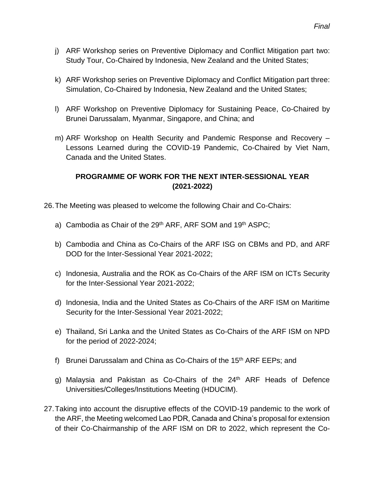- j) ARF Workshop series on Preventive Diplomacy and Conflict Mitigation part two: Study Tour, Co-Chaired by Indonesia, New Zealand and the United States;
- k) ARF Workshop series on Preventive Diplomacy and Conflict Mitigation part three: Simulation, Co-Chaired by Indonesia, New Zealand and the United States;
- l) ARF Workshop on Preventive Diplomacy for Sustaining Peace, Co-Chaired by Brunei Darussalam, Myanmar, Singapore, and China; and
- m) ARF Workshop on Health Security and Pandemic Response and Recovery Lessons Learned during the COVID-19 Pandemic, Co-Chaired by Viet Nam, Canada and the United States.

### **PROGRAMME OF WORK FOR THE NEXT INTER-SESSIONAL YEAR (2021-2022)**

- 26.The Meeting was pleased to welcome the following Chair and Co-Chairs:
	- a) Cambodia as Chair of the 29<sup>th</sup> ARF, ARF SOM and 19<sup>th</sup> ASPC;
	- b) Cambodia and China as Co-Chairs of the ARF ISG on CBMs and PD, and ARF DOD for the Inter-Sessional Year 2021-2022;
	- c) Indonesia, Australia and the ROK as Co-Chairs of the ARF ISM on ICTs Security for the Inter-Sessional Year 2021-2022;
	- d) Indonesia, India and the United States as Co-Chairs of the ARF ISM on Maritime Security for the Inter-Sessional Year 2021-2022;
	- e) Thailand, Sri Lanka and the United States as Co-Chairs of the ARF ISM on NPD for the period of 2022-2024;
	- f) Brunei Darussalam and China as Co-Chairs of the  $15<sup>th</sup>$  ARF EEPs; and
	- g) Malaysia and Pakistan as Co-Chairs of the 24<sup>th</sup> ARF Heads of Defence Universities/Colleges/Institutions Meeting (HDUCIM).
- 27.Taking into account the disruptive effects of the COVID-19 pandemic to the work of the ARF, the Meeting welcomed Lao PDR, Canada and China's proposal for extension of their Co-Chairmanship of the ARF ISM on DR to 2022, which represent the Co-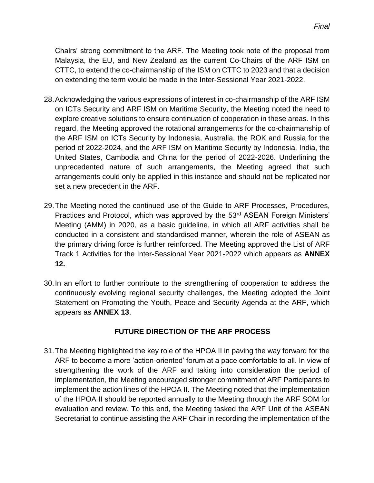Chairs' strong commitment to the ARF. The Meeting took note of the proposal from Malaysia, the EU, and New Zealand as the current Co-Chairs of the ARF ISM on CTTC, to extend the co-chairmanship of the ISM on CTTC to 2023 and that a decision on extending the term would be made in the Inter-Sessional Year 2021-2022.

- 28.Acknowledging the various expressions of interest in co-chairmanship of the ARF ISM on ICTs Security and ARF ISM on Maritime Security, the Meeting noted the need to explore creative solutions to ensure continuation of cooperation in these areas. In this regard, the Meeting approved the rotational arrangements for the co-chairmanship of the ARF ISM on ICTs Security by Indonesia, Australia, the ROK and Russia for the period of 2022-2024, and the ARF ISM on Maritime Security by Indonesia, India, the United States, Cambodia and China for the period of 2022-2026. Underlining the unprecedented nature of such arrangements, the Meeting agreed that such arrangements could only be applied in this instance and should not be replicated nor set a new precedent in the ARF.
- 29.The Meeting noted the continued use of the Guide to ARF Processes, Procedures, Practices and Protocol, which was approved by the 53<sup>rd</sup> ASEAN Foreign Ministers' Meeting (AMM) in 2020, as a basic guideline, in which all ARF activities shall be conducted in a consistent and standardised manner, wherein the role of ASEAN as the primary driving force is further reinforced. The Meeting approved the List of ARF Track 1 Activities for the Inter-Sessional Year 2021-2022 which appears as **ANNEX 12.**
- 30.In an effort to further contribute to the strengthening of cooperation to address the continuously evolving regional security challenges, the Meeting adopted the Joint Statement on Promoting the Youth, Peace and Security Agenda at the ARF, which appears as **ANNEX 13**.

#### **FUTURE DIRECTION OF THE ARF PROCESS**

31.The Meeting highlighted the key role of the HPOA II in paving the way forward for the ARF to become a more 'action-oriented' forum at a pace comfortable to all. In view of strengthening the work of the ARF and taking into consideration the period of implementation, the Meeting encouraged stronger commitment of ARF Participants to implement the action lines of the HPOA II. The Meeting noted that the implementation of the HPOA II should be reported annually to the Meeting through the ARF SOM for evaluation and review. To this end, the Meeting tasked the ARF Unit of the ASEAN Secretariat to continue assisting the ARF Chair in recording the implementation of the